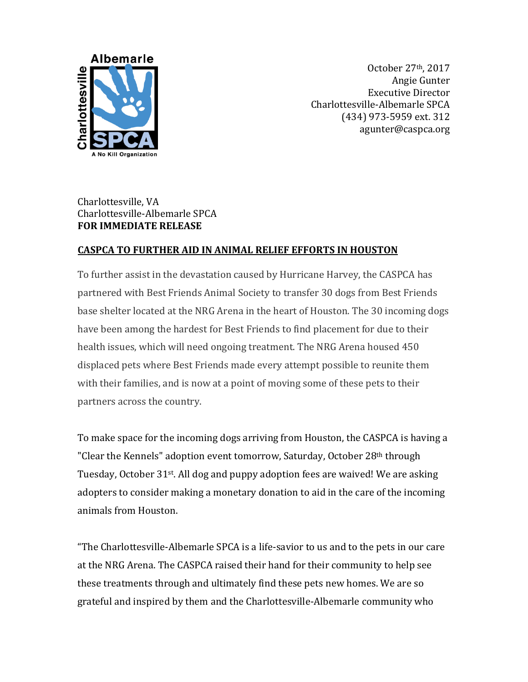

October 27th, 2017 Angie Gunter Executive Director Charlottesville-Albemarle SPCA (434) 973-5959 ext. 312 agunter@caspca.org

## Charlottesville, VA Charlottesville-Albemarle SPCA **FOR IMMEDIATE RELEASE**

## **CASPCA TO FURTHER AID IN ANIMAL RELIEF EFFORTS IN HOUSTON**

To further assist in the devastation caused by Hurricane Harvey, the CASPCA has partnered with Best Friends Animal Society to transfer 30 dogs from Best Friends base shelter located at the NRG Arena in the heart of Houston. The 30 incoming dogs have been among the hardest for Best Friends to find placement for due to their health issues, which will need ongoing treatment. The NRG Arena housed 450 displaced pets where Best Friends made every attempt possible to reunite them with their families, and is now at a point of moving some of these pets to their partners across the country.

To make space for the incoming dogs arriving from Houston, the CASPCA is having a "Clear the Kennels" adoption event tomorrow, Saturday, October 28<sup>th</sup> through Tuesday, October 31<sup>st</sup>. All dog and puppy adoption fees are waived! We are asking adopters to consider making a monetary donation to aid in the care of the incoming animals from Houston.

"The Charlottesville-Albemarle SPCA is a life-savior to us and to the pets in our care at the NRG Arena. The CASPCA raised their hand for their community to help see these treatments through and ultimately find these pets new homes. We are so grateful and inspired by them and the Charlottesville-Albemarle community who